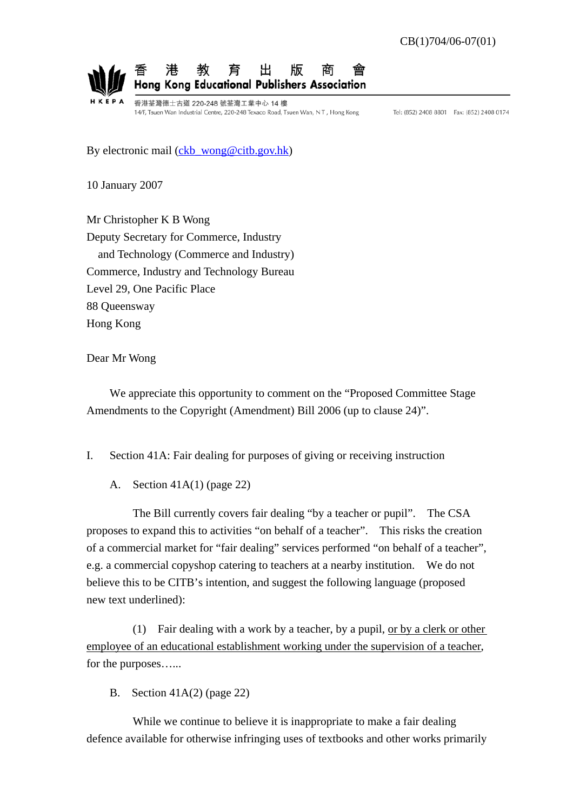

香港荃灣德士古道 220-248 號荃灣工業中心 14 樓 14/F, Tsuen Wan Industrial Centre, 220-248 Texaco Road, Tsuen Wan, NT, Hong Kong

Tel: (852) 2408 8801 Fax: (852) 2408 0174

By electronic mail (ckb wong@citb.gov.hk)

10 January 2007

Mr Christopher K B Wong Deputy Secretary for Commerce, Industry and Technology (Commerce and Industry) Commerce, Industry and Technology Bureau Level 29, One Pacific Place 88 Queensway Hong Kong

Dear Mr Wong

 We appreciate this opportunity to comment on the "Proposed Committee Stage Amendments to the Copyright (Amendment) Bill 2006 (up to clause 24)".

- I. Section 41A: Fair dealing for purposes of giving or receiving instruction
	- A. Section 41A(1) (page 22)

 The Bill currently covers fair dealing "by a teacher or pupil". The CSA proposes to expand this to activities "on behalf of a teacher". This risks the creation of a commercial market for "fair dealing" services performed "on behalf of a teacher", e.g. a commercial copyshop catering to teachers at a nearby institution. We do not believe this to be CITB's intention, and suggest the following language (proposed new text underlined):

 (1) Fair dealing with a work by a teacher, by a pupil, or by a clerk or other employee of an educational establishment working under the supervision of a teacher, for the purposes…...

B. Section 41A(2) (page 22)

 While we continue to believe it is inappropriate to make a fair dealing defence available for otherwise infringing uses of textbooks and other works primarily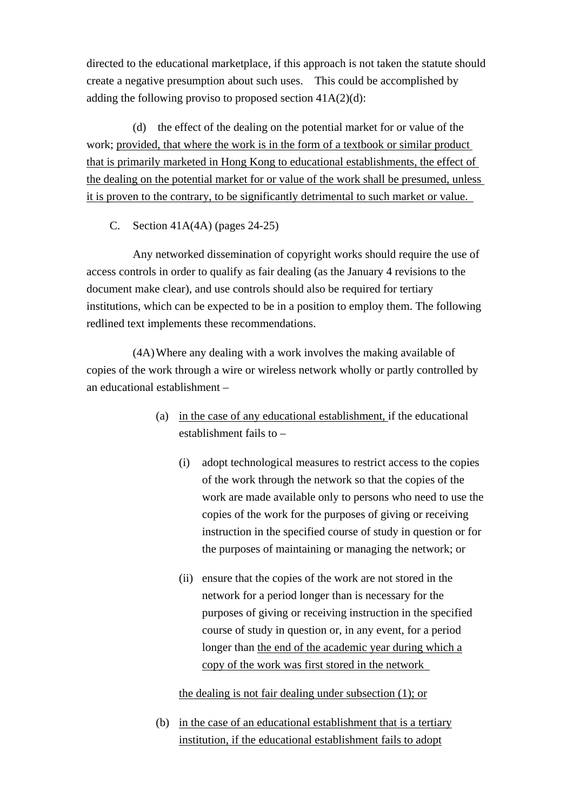directed to the educational marketplace, if this approach is not taken the statute should create a negative presumption about such uses. This could be accomplished by adding the following proviso to proposed section  $41A(2)(d)$ :

 (d) the effect of the dealing on the potential market for or value of the work; provided, that where the work is in the form of a textbook or similar product that is primarily marketed in Hong Kong to educational establishments, the effect of the dealing on the potential market for or value of the work shall be presumed, unless it is proven to the contrary, to be significantly detrimental to such market or value.

C. Section 41A(4A) (pages 24-25)

 Any networked dissemination of copyright works should require the use of access controls in order to qualify as fair dealing (as the January 4 revisions to the document make clear), and use controls should also be required for tertiary institutions, which can be expected to be in a position to employ them. The following redlined text implements these recommendations.

 (4A) Where any dealing with a work involves the making available of copies of the work through a wire or wireless network wholly or partly controlled by an educational establishment –

- (a) in the case of any educational establishment, if the educational establishment fails to –
	- (i) adopt technological measures to restrict access to the copies of the work through the network so that the copies of the work are made available only to persons who need to use the copies of the work for the purposes of giving or receiving instruction in the specified course of study in question or for the purposes of maintaining or managing the network; or
	- (ii) ensure that the copies of the work are not stored in the network for a period longer than is necessary for the purposes of giving or receiving instruction in the specified course of study in question or, in any event, for a period longer than the end of the academic year during which a copy of the work was first stored in the network

the dealing is not fair dealing under subsection (1); or

 (b) in the case of an educational establishment that is a tertiary institution, if the educational establishment fails to adopt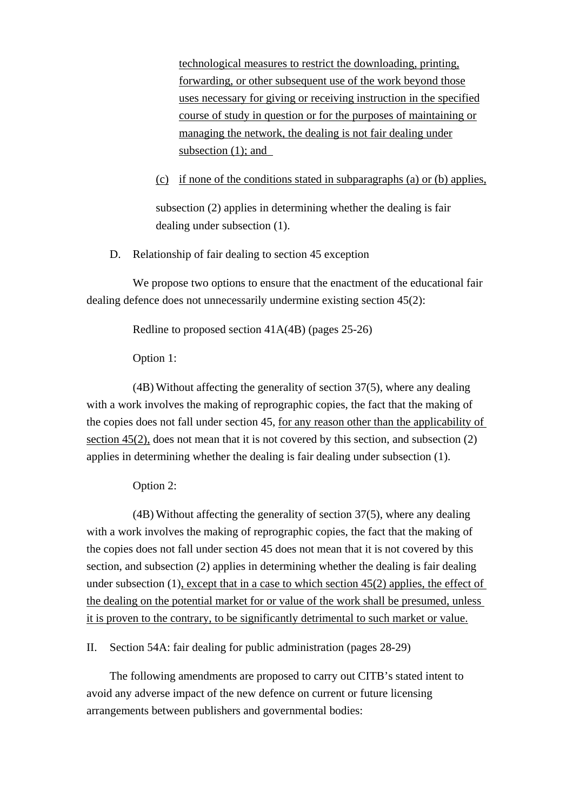technological measures to restrict the downloading, printing, forwarding, or other subsequent use of the work beyond those uses necessary for giving or receiving instruction in the specified course of study in question or for the purposes of maintaining or managing the network, the dealing is not fair dealing under subsection (1); and

## (c) if none of the conditions stated in subparagraphs (a) or (b) applies,

 subsection (2) applies in determining whether the dealing is fair dealing under subsection (1).

D. Relationship of fair dealing to section 45 exception

 We propose two options to ensure that the enactment of the educational fair dealing defence does not unnecessarily undermine existing section 45(2):

Redline to proposed section 41A(4B) (pages 25-26)

Option 1:

 (4B) Without affecting the generality of section 37(5), where any dealing with a work involves the making of reprographic copies, the fact that the making of the copies does not fall under section 45, for any reason other than the applicability of section 45(2), does not mean that it is not covered by this section, and subsection (2) applies in determining whether the dealing is fair dealing under subsection (1).

Option 2:

 (4B) Without affecting the generality of section 37(5), where any dealing with a work involves the making of reprographic copies, the fact that the making of the copies does not fall under section 45 does not mean that it is not covered by this section, and subsection (2) applies in determining whether the dealing is fair dealing under subsection (1), except that in a case to which section 45(2) applies, the effect of the dealing on the potential market for or value of the work shall be presumed, unless it is proven to the contrary, to be significantly detrimental to such market or value.

II. Section 54A: fair dealing for public administration (pages 28-29)

 The following amendments are proposed to carry out CITB's stated intent to avoid any adverse impact of the new defence on current or future licensing arrangements between publishers and governmental bodies: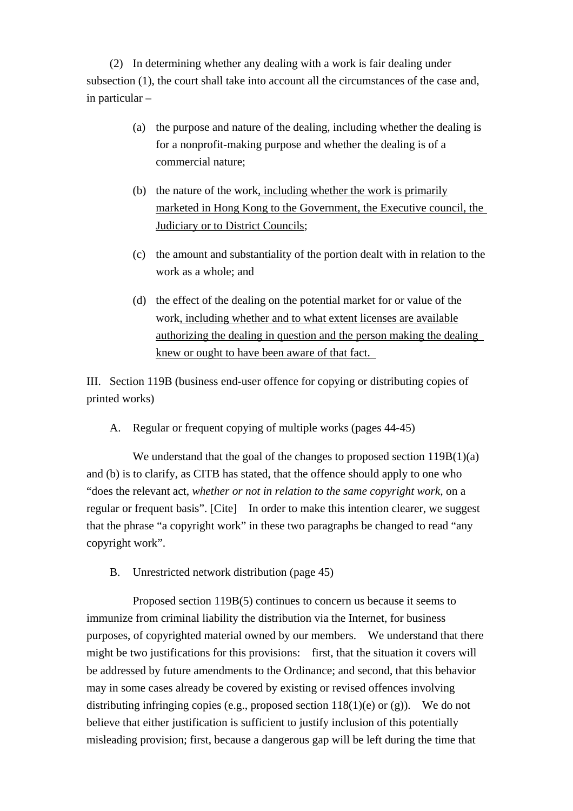(2) In determining whether any dealing with a work is fair dealing under subsection (1), the court shall take into account all the circumstances of the case and, in particular –

- (a) the purpose and nature of the dealing, including whether the dealing is for a nonprofit-making purpose and whether the dealing is of a commercial nature;
- (b) the nature of the work, including whether the work is primarily marketed in Hong Kong to the Government, the Executive council, the Judiciary or to District Councils;
- (c) the amount and substantiality of the portion dealt with in relation to the work as a whole; and
- (d) the effect of the dealing on the potential market for or value of the work, including whether and to what extent licenses are available authorizing the dealing in question and the person making the dealing knew or ought to have been aware of that fact.

III. Section 119B (business end-user offence for copying or distributing copies of printed works)

A. Regular or frequent copying of multiple works (pages 44-45)

We understand that the goal of the changes to proposed section  $119B(1)(a)$ and (b) is to clarify, as CITB has stated, that the offence should apply to one who "does the relevant act, *whether or not in relation to the same copyright work,* on a regular or frequent basis". [Cite] In order to make this intention clearer, we suggest that the phrase "a copyright work" in these two paragraphs be changed to read "any copyright work".

B. Unrestricted network distribution (page 45)

 Proposed section 119B(5) continues to concern us because it seems to immunize from criminal liability the distribution via the Internet, for business purposes, of copyrighted material owned by our members. We understand that there might be two justifications for this provisions: first, that the situation it covers will be addressed by future amendments to the Ordinance; and second, that this behavior may in some cases already be covered by existing or revised offences involving distributing infringing copies (e.g., proposed section  $118(1)$ (e) or (g)). We do not believe that either justification is sufficient to justify inclusion of this potentially misleading provision; first, because a dangerous gap will be left during the time that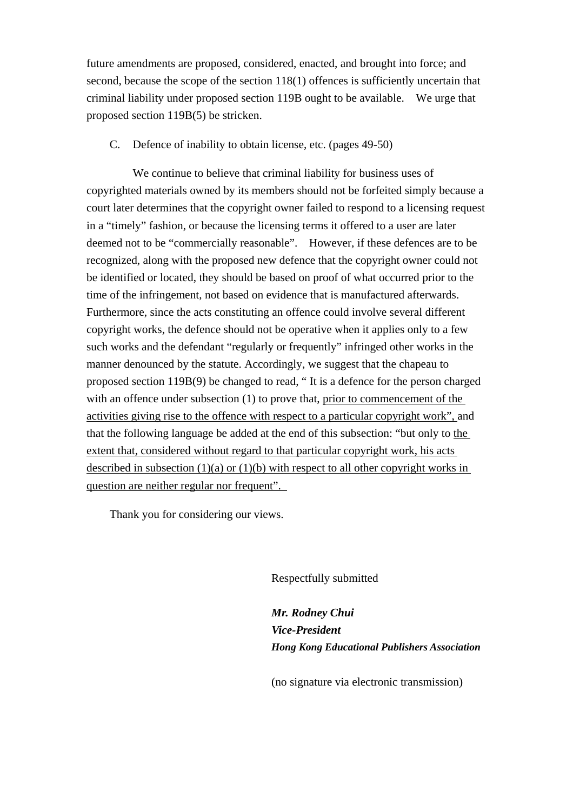future amendments are proposed, considered, enacted, and brought into force; and second, because the scope of the section 118(1) offences is sufficiently uncertain that criminal liability under proposed section 119B ought to be available. We urge that proposed section 119B(5) be stricken.

C. Defence of inability to obtain license, etc. (pages 49-50)

 We continue to believe that criminal liability for business uses of copyrighted materials owned by its members should not be forfeited simply because a court later determines that the copyright owner failed to respond to a licensing request in a "timely" fashion, or because the licensing terms it offered to a user are later deemed not to be "commercially reasonable". However, if these defences are to be recognized, along with the proposed new defence that the copyright owner could not be identified or located, they should be based on proof of what occurred prior to the time of the infringement, not based on evidence that is manufactured afterwards. Furthermore, since the acts constituting an offence could involve several different copyright works, the defence should not be operative when it applies only to a few such works and the defendant "regularly or frequently" infringed other works in the manner denounced by the statute. Accordingly, we suggest that the chapeau to proposed section 119B(9) be changed to read, " It is a defence for the person charged with an offence under subsection (1) to prove that, prior to commencement of the activities giving rise to the offence with respect to a particular copyright work", and that the following language be added at the end of this subsection: "but only to the extent that, considered without regard to that particular copyright work, his acts described in subsection  $(1)(a)$  or  $(1)(b)$  with respect to all other copyright works in question are neither regular nor frequent".

Thank you for considering our views.

Respectfully submitted

 *Mr. Rodney Chui Vice-President Hong Kong Educational Publishers Association* 

(no signature via electronic transmission)